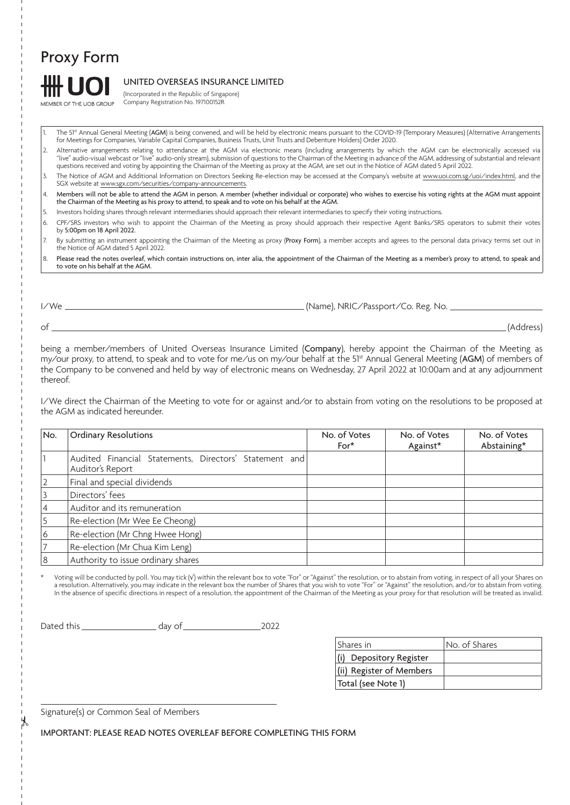# Proxy Form

MEMBER OF THE LIOB GROUP

## UNITED OVERSEAS INSURANCE LIMITED

(Incorporated in the Republic of Singapore) Company Registration No. 197100152R

- The 51<sup>st</sup> Annual General Meeting (AGM) is being convened, and will be held by electronic means pursuant to the COVID-19 (Temporary Measures) (Alternative Arrangements for Meetings for Companies, Variable Capital Companies, Business Trusts, Unit Trusts and Debenture Holders) Order 2020.
- 2. Alternative arrangements relating to attendance at the AGM via electronic means (including arrangements by which the AGM can be electronically accessed via "live" audio-visual webcast or "live" audio-only stream), submission of questions to the Chairman of the Meeting in advance of the AGM, addressing of substantial and relevant questions received and voting by appointing the Chairman of the Meeting as proxy at the AGM, are set out in the Notice of AGM dated 5 April 2022.
- 3. The Notice of AGM and Additional Information on Directors Seeking Re-election may be accessed at the Company's website at www.uoi.com.sg/uoi/index.html, and the SGX website at www.sgx.com/securities/company-announcements.
- 4. Members will not be able to attend the AGM in person. A member (whether individual or corporate) who wishes to exercise his voting rights at the AGM must appoint the Chairman of the Meeting as his proxy to attend, to speak and to vote on his behalf at the AGM.
- 5. Investors holding shares through relevant intermediaries should approach their relevant intermediaries to specify their voting instructions.
- 6. CPF/SRS investors who wish to appoint the Chairman of the Meeting as proxy should approach their respective Agent Banks/SRS operators to submit their votes by 5:00pm on 18 April 2022.
- 7. By submitting an instrument appointing the Chairman of the Meeting as proxy (Proxy Form), a member accepts and agrees to the personal data privacy terms set out in the Notice of AGM dated 5 April 2022.
- 8. Please read the notes overleaf, which contain instructions on, inter alia, the appointment of the Chairman of the Meeting as a member's proxy to attend, to speak and to vote on his behalf at the AGM.

I/We  $\frac{1}{\sqrt{1-\frac{1}{2}}}\left(\frac{1}{\sqrt{1-\frac{1}{2}}}\right)$  (Name), NRIC/Passport/Co. Reg. No.

of (Address)

being a member/members of United Overseas Insurance Limited (Company), hereby appoint the Chairman of the Meeting as my/our proxy, to attend, to speak and to vote for me/us on my/our behalf at the 51<sup>st</sup> Annual General Meeting (AGM) of members of the Company to be convened and held by way of electronic means on Wednesday, 27 April 2022 at 10:00am and at any adjournment thereof.

I/We direct the Chairman of the Meeting to vote for or against and/or to abstain from voting on the resolutions to be proposed at the AGM as indicated hereunder.

| No. | <b>Ordinary Resolutions</b>                                                | No. of Votes<br>$For*$ | No. of Votes<br>Against* | No. of Votes<br>Abstaining* |
|-----|----------------------------------------------------------------------------|------------------------|--------------------------|-----------------------------|
|     | Audited Financial Statements, Directors' Statement and<br>Auditor's Report |                        |                          |                             |
|     | Final and special dividends                                                |                        |                          |                             |
|     | Directors' fees                                                            |                        |                          |                             |
|     | Auditor and its remuneration                                               |                        |                          |                             |
|     | Re-election (Mr Wee Ee Cheong)                                             |                        |                          |                             |
| ь   | Re-election (Mr Chng Hwee Hong)                                            |                        |                          |                             |
|     | Re-election (Mr Chua Kim Leng)                                             |                        |                          |                             |
|     | Authority to issue ordinary shares                                         |                        |                          |                             |

Voting will be conducted by poll. You may tick (v) within the relevant box to vote "For" or "Against" the resolution, or to abstain from voting, in respect of all your Shares on a resolution. Alternatively, you may indicate in the relevant box the number of Shares that you wish to vote "For" or "Against" the resolution, and/or to abstain from voting. In the absence of specific directions in respect of a resolution, the appointment of the Chairman of the Meeting as your proxy for that resolution will be treated as invalid.

Dated this 2022

| Shares in                | No. of Shares |
|--------------------------|---------------|
| (i) Depository Register  |               |
| (ii) Register of Members |               |
| Total (see Note 1)       |               |

Signature(s) or Common Seal of Members

IMPORTANT: PLEASE READ NOTES OVERLEAF BEFORE COMPLETING THIS FORM